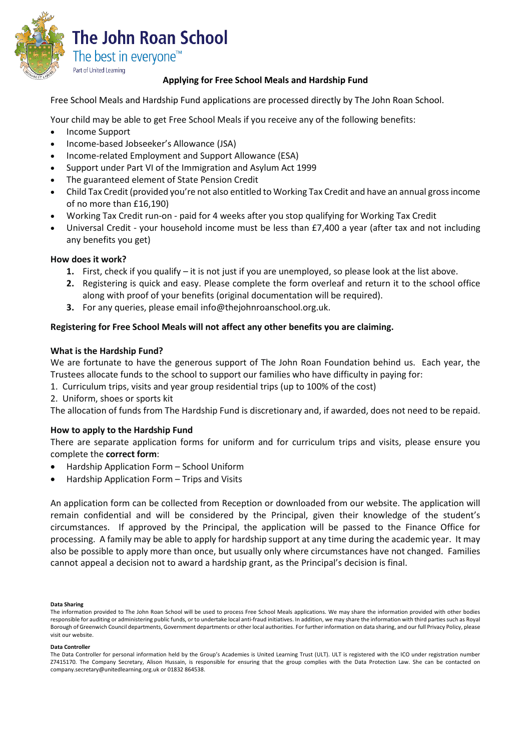

# **Applying for Free School Meals and Hardship Fund**

Free School Meals and Hardship Fund applications are processed directly by The John Roan School.

Your child may be able to get Free School Meals if you receive any of the following benefits:

- Income Support
- Income-based Jobseeker's Allowance (JSA)
- Income-related Employment and Support Allowance (ESA)
- Support under Part VI of the Immigration and Asylum Act 1999
- The guaranteed element of State Pension Credit
- Child Tax Credit (provided you're not also entitled to Working Tax Credit and have an annual gross income of no more than £16,190)
- Working Tax Credit run-on paid for 4 weeks after you stop qualifying for Working Tax Credit
- Universal Credit your household income must be less than £7,400 a year (after tax and not including any benefits you get)

## **How does it work?**

- **1.** First, check if you qualify it is not just if you are unemployed, so please look at the list above.
- **2.** Registering is quick and easy. Please complete the form overleaf and return it to the school office along with proof of your benefits (original documentation will be required).
- **3.** For any queries, please email info@thejohnroanschool.org.uk.

# **Registering for Free School Meals will not affect any other benefits you are claiming.**

## **What is the Hardship Fund?**

We are fortunate to have the generous support of The John Roan Foundation behind us. Each year, the Trustees allocate funds to the school to support our families who have difficulty in paying for:

- 1. Curriculum trips, visits and year group residential trips (up to 100% of the cost)
- 2. Uniform, shoes or sports kit

The allocation of funds from The Hardship Fund is discretionary and, if awarded, does not need to be repaid.

## **How to apply to the Hardship Fund**

There are separate application forms for uniform and for curriculum trips and visits, please ensure you complete the **correct form**:

- Hardship Application Form School Uniform
- Hardship Application Form Trips and Visits

An application form can be collected from Reception or downloaded from our website. The application will remain confidential and will be considered by the Principal, given their knowledge of the student's circumstances. If approved by the Principal, the application will be passed to the Finance Office for processing. A family may be able to apply for hardship support at any time during the academic year. It may also be possible to apply more than once, but usually only where circumstances have not changed. Families cannot appeal a decision not to award a hardship grant, as the Principal's decision is final.

#### **Data Sharing**

#### **Data Controller**

The information provided to The John Roan School will be used to process Free School Meals applications. We may share the information provided with other bodies responsible for auditing or administering public funds, or to undertake local anti-fraud initiatives. In addition, we may share the information with third parties such as Royal Borough of Greenwich Council departments, Government departments or other local authorities. For further information on data sharing, and our full Privacy Policy, please visit our website.

The Data Controller for personal information held by the Group's Academies is United Learning Trust (ULT). ULT is registered with the ICO under registration number Z7415170. The Company Secretary, Alison Hussain, is responsible for ensuring that the group complies with the Data Protection Law. She can be contacted on company.secretary@unitedlearning.org.uk or 01832 864538.